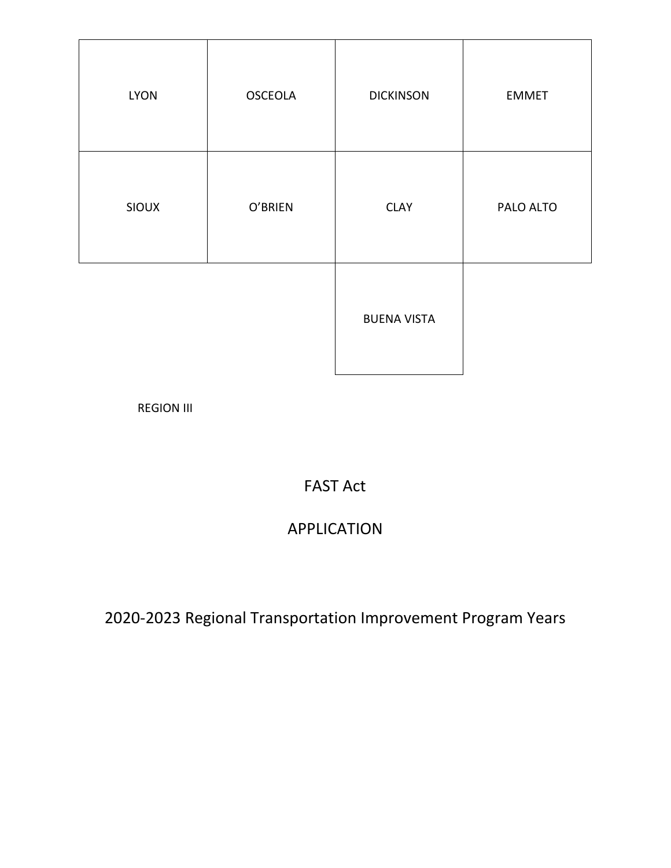| <b>LYON</b>  | <b>OSCEOLA</b> | <b>DICKINSON</b>   | <b>EMMET</b> |
|--------------|----------------|--------------------|--------------|
| <b>SIOUX</b> | O'BRIEN        | <b>CLAY</b>        | PALO ALTO    |
|              |                | <b>BUENA VISTA</b> |              |

REGION III

FAST Act

# APPLICATION

2020-2023 Regional Transportation Improvement Program Years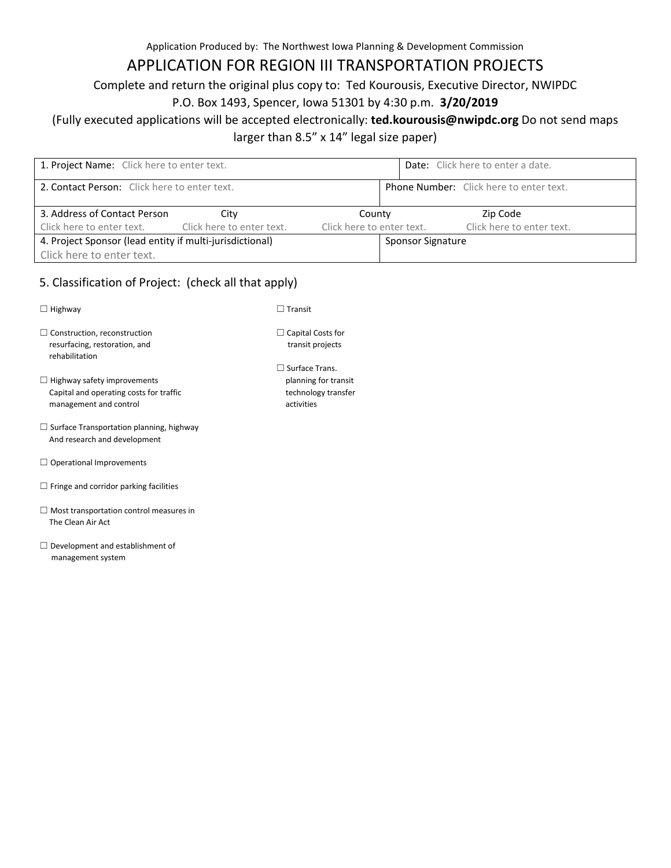Application Produced by: The Northwest Iowa Planning & Development Commission

## APPLICATION FOR REGION III TRANSPORTATION PROJECTS

Complete and return the original plus copy to: Ted Kourousis, Executive Director, NWIPDC

## P.O. Box 1493, Spencer, Iowa 51301 by 4:30 p.m. **3/20/2019**

## (Fully executed applications will be accepted electronically: **ted.kourousis@nwipdc.org** Do not send maps larger than 8.5" x 14" legal size paper)

| 1. Project Name: Click here to enter text.               |      |                                                | <b>Date:</b> Click here to enter a date. |  |                           |  |
|----------------------------------------------------------|------|------------------------------------------------|------------------------------------------|--|---------------------------|--|
| 2. Contact Person: Click here to enter text.             |      | <b>Phone Number:</b> Click here to enter text. |                                          |  |                           |  |
| 3. Address of Contact Person                             | City | County                                         |                                          |  | Zip Code                  |  |
| Click here to enter text. Click here to enter text.      |      | Click here to enter text.                      |                                          |  | Click here to enter text. |  |
| 4. Project Sponsor (lead entity if multi-jurisdictional) |      | <b>Sponsor Signature</b>                       |                                          |  |                           |  |
| Click here to enter text.                                |      |                                                |                                          |  |                           |  |

### 5. Classification of Project: (check all that apply)

| $\Box$ Highway                                                                                          | $\Box$ Transit                                                                        |
|---------------------------------------------------------------------------------------------------------|---------------------------------------------------------------------------------------|
| $\Box$ Construction, reconstruction<br>resurfacing, restoration, and<br>rehabilitation                  | $\Box$ Capital Costs for<br>transit projects                                          |
| $\Box$ Highway safety improvements<br>Capital and operating costs for traffic<br>management and control | $\square$ Surface Trans.<br>planning for transit<br>technology transfer<br>activities |
| $\Box$ Surface Transportation planning, highway<br>And research and development                         |                                                                                       |
| $\Box$ Operational Improvements                                                                         |                                                                                       |
| $\Box$ Fringe and corridor parking facilities                                                           |                                                                                       |
| Most transportation control measures in<br>The Clean Air Act                                            |                                                                                       |
| Development and establishment of<br>management system                                                   |                                                                                       |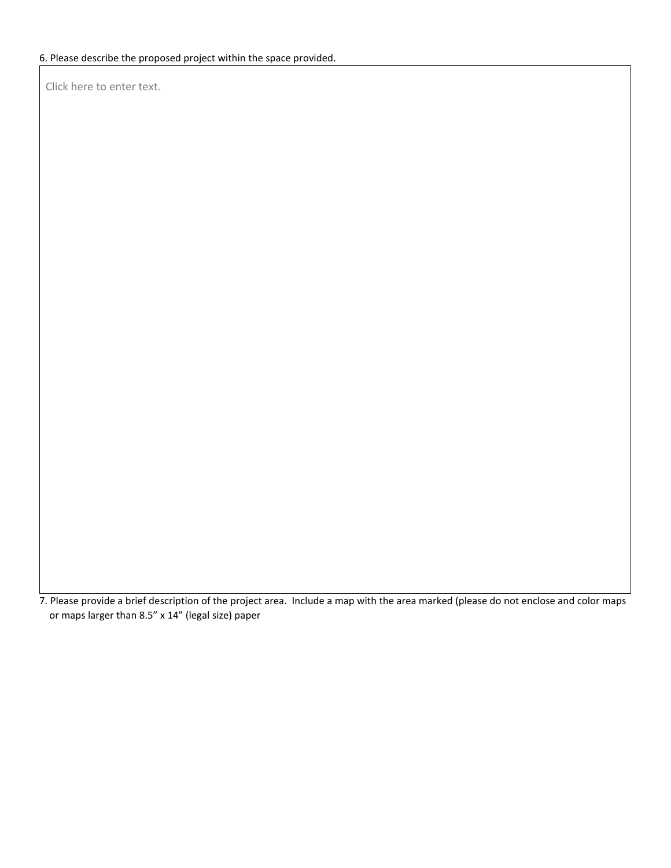Click here to enter text.

7. Please provide a brief description of the project area. Include a map with the area marked (please do not enclose and color maps or maps larger than 8.5" x 14" (legal size) paper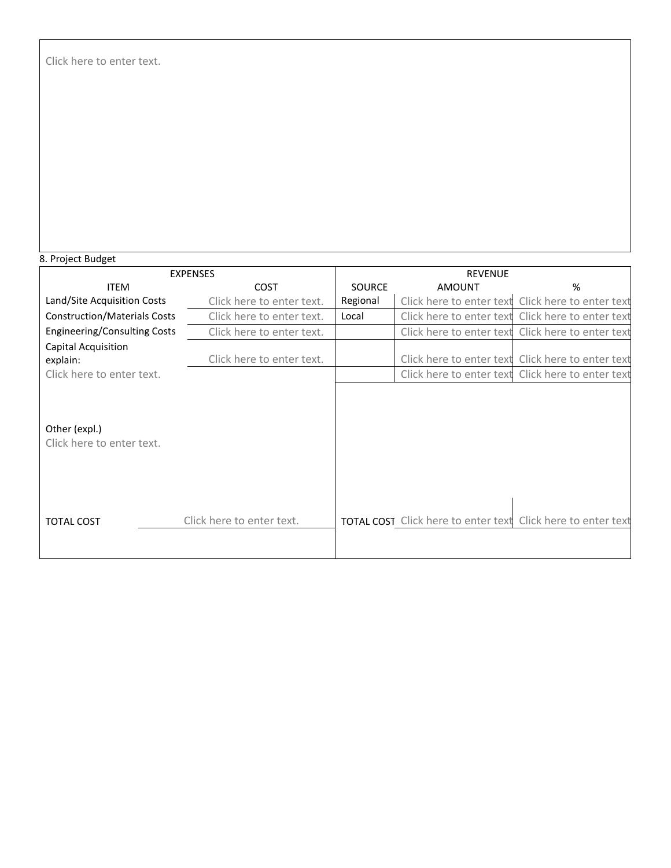Click here to enter text.

#### 8. Project Budget

| <b>EXPENSES</b>                            |                           | <b>REVENUE</b> |                                                                     |                                                   |  |
|--------------------------------------------|---------------------------|----------------|---------------------------------------------------------------------|---------------------------------------------------|--|
| <b>ITEM</b>                                | <b>COST</b>               | <b>SOURCE</b>  | <b>AMOUNT</b>                                                       | %                                                 |  |
| Land/Site Acquisition Costs                | Click here to enter text. | Regional       | Click here to enter text                                            | Click here to enter text                          |  |
| <b>Construction/Materials Costs</b>        | Click here to enter text. | Local          | Click here to enter text                                            | Click here to enter text                          |  |
| Engineering/Consulting Costs               | Click here to enter text. |                | Click here to enter text                                            | Click here to enter text                          |  |
| Capital Acquisition                        |                           |                |                                                                     |                                                   |  |
| explain:                                   | Click here to enter text. |                | Click here to enter text                                            | Click here to enter text                          |  |
| Click here to enter text.                  |                           |                |                                                                     | Click here to enter text Click here to enter text |  |
| Other (expl.)<br>Click here to enter text. |                           |                |                                                                     |                                                   |  |
| <b>TOTAL COST</b>                          | Click here to enter text. |                | <b>TOTAL COST</b> Click here to enter text Click here to enter text |                                                   |  |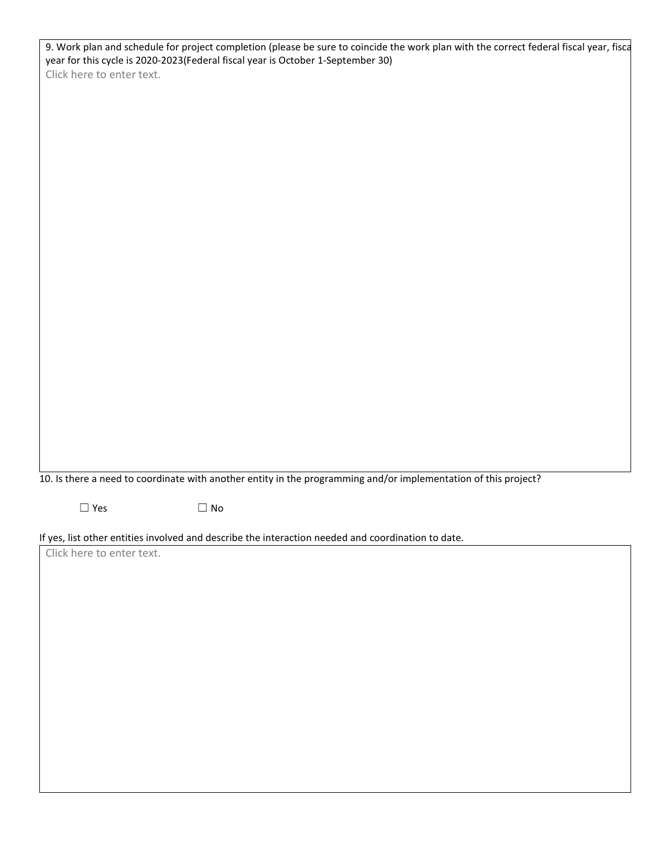| 9. Work plan and schedule for project completion (please be sure to coincide the work plan with the correct federal fiscal year, fiscal |
|-----------------------------------------------------------------------------------------------------------------------------------------|
| year for this cycle is 2020-2023 (Federal fiscal year is October 1-September 30)                                                        |
| Click here to enter text.                                                                                                               |

10. Is there a need to coordinate with another entity in the programming and/or implementation of this project?

 $\square$  Yes  $\square$  No

If yes, list other entities involved and describe the interaction needed and coordination to date.

Click here to enter text.